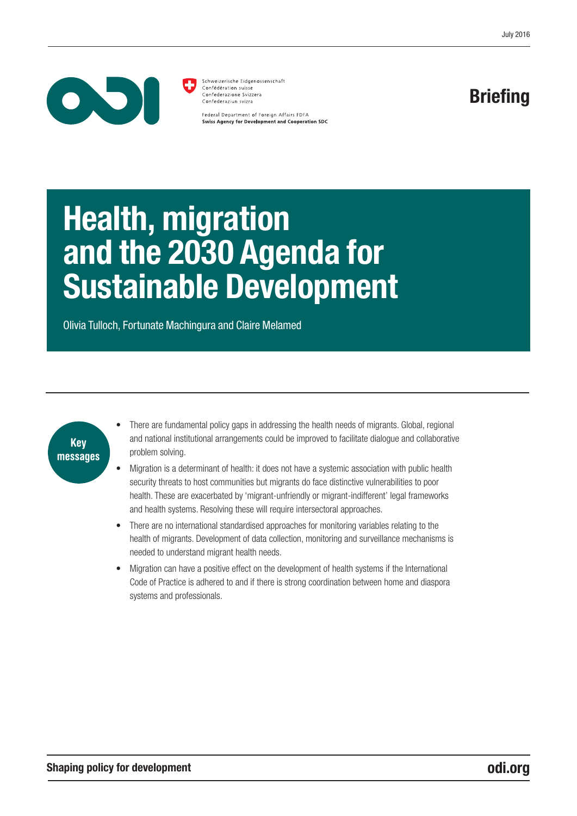

Schweizerische Eidgenossenschaft Confédération suisse Confederazione Svizzera Confederaziun svizra

Federal Department of Foreign Affairs FDFA **Swiss Agency for Development and Cooperation SDC** 

# Briefing

# Health, migration and the 2030 Agenda for Sustainable Development

Olivia Tulloch, Fortunate Machingura and Claire Melamed



- There are fundamental policy gaps in addressing the health needs of migrants. Global, regional and national institutional arrangements could be improved to facilitate dialogue and collaborative problem solving.
- Migration is a determinant of health: it does not have a systemic association with public health security threats to host communities but migrants do face distinctive vulnerabilities to poor health. These are exacerbated by 'migrant-unfriendly or migrant-indifferent' legal frameworks and health systems. Resolving these will require intersectoral approaches.
- There are no international standardised approaches for monitoring variables relating to the health of migrants. Development of data collection, monitoring and surveillance mechanisms is needed to understand migrant health needs.
- Migration can have a positive effect on the development of health systems if the International Code of Practice is adhered to and if there is strong coordination between home and diaspora systems and professionals.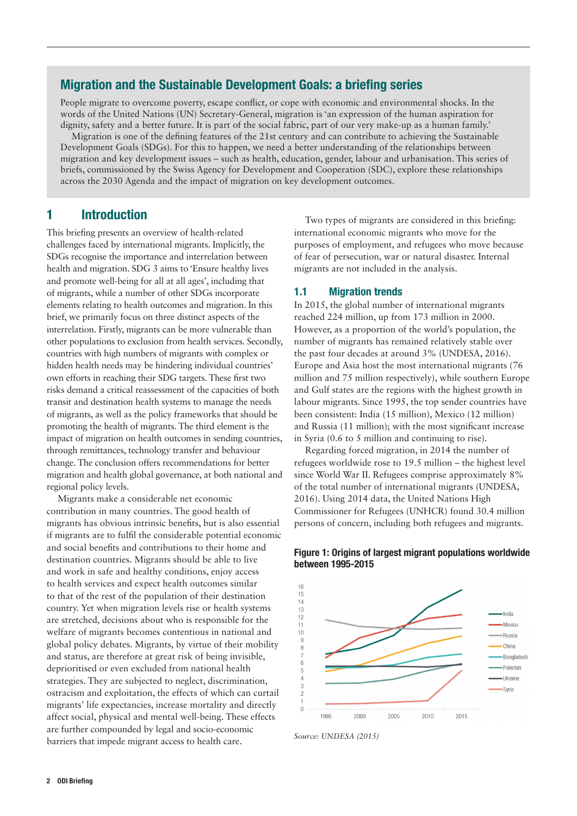# Migration and the Sustainable Development Goals: a briefing series

People migrate to overcome poverty, escape conflict, or cope with economic and environmental shocks. In the words of the United Nations (UN) Secretary-General, migration is 'an expression of the human aspiration for dignity, safety and a better future. It is part of the social fabric, part of our very make-up as a human family.'

Migration is one of the defining features of the 21st century and can contribute to achieving the Sustainable Development Goals (SDGs). For this to happen, we need a better understanding of the relationships between migration and key development issues – such as health, education, gender, labour and urbanisation. This series of briefs, commissioned by the Swiss Agency for Development and Cooperation (SDC), explore these relationships across the 2030 Agenda and the impact of migration on key development outcomes.

# 1 Introduction

This briefing presents an overview of health-related challenges faced by international migrants. Implicitly, the SDGs recognise the importance and interrelation between health and migration. SDG 3 aims to 'Ensure healthy lives and promote well-being for all at all ages', including that of migrants, while a number of other SDGs incorporate elements relating to health outcomes and migration. In this brief, we primarily focus on three distinct aspects of the interrelation. Firstly, migrants can be more vulnerable than other populations to exclusion from health services. Secondly, countries with high numbers of migrants with complex or hidden health needs may be hindering individual countries' own efforts in reaching their SDG targets. These first two risks demand a critical reassessment of the capacities of both transit and destination health systems to manage the needs of migrants, as well as the policy frameworks that should be promoting the health of migrants. The third element is the impact of migration on health outcomes in sending countries, through remittances, technology transfer and behaviour change. The conclusion offers recommendations for better migration and health global governance, at both national and regional policy levels.

Migrants make a considerable net economic contribution in many countries. The good health of migrants has obvious intrinsic benefits, but is also essential if migrants are to fulfil the considerable potential economic and social benefits and contributions to their home and destination countries. Migrants should be able to live and work in safe and healthy conditions, enjoy access to health services and expect health outcomes similar to that of the rest of the population of their destination country. Yet when migration levels rise or health systems are stretched, decisions about who is responsible for the welfare of migrants becomes contentious in national and global policy debates. Migrants, by virtue of their mobility and status, are therefore at great risk of being invisible, deprioritised or even excluded from national health strategies. They are subjected to neglect, discrimination, ostracism and exploitation, the effects of which can curtail migrants' life expectancies, increase mortality and directly affect social, physical and mental well-being. These effects are further compounded by legal and socio-economic barriers that impede migrant access to health care.

Two types of migrants are considered in this briefing: international economic migrants who move for the purposes of employment, and refugees who move because of fear of persecution, war or natural disaster. Internal migrants are not included in the analysis.

#### 1.1 Migration trends

In 2015, the global number of international migrants reached 224 million, up from 173 million in 2000. However, as a proportion of the world's population, the number of migrants has remained relatively stable over the past four decades at around 3% (UNDESA, 2016). Europe and Asia host the most international migrants (76 million and 75 million respectively), while southern Europe and Gulf states are the regions with the highest growth in labour migrants. Since 1995, the top sender countries have been consistent: India (15 million), Mexico (12 million) and Russia (11 million); with the most significant increase in Syria (0.6 to 5 million and continuing to rise).

Regarding forced migration, in 2014 the number of refugees worldwide rose to 19.5 million – the highest level since World War II. Refugees comprise approximately 8% of the total number of international migrants (UNDESA, 2016). Using 2014 data, the United Nations High Commissioner for Refugees (UNHCR) found 30.4 million persons of concern, including both refugees and migrants.



#### Figure 1: Origins of largest migrant populations worldwide between 1995-2015

*Source: UNDESA (2015)*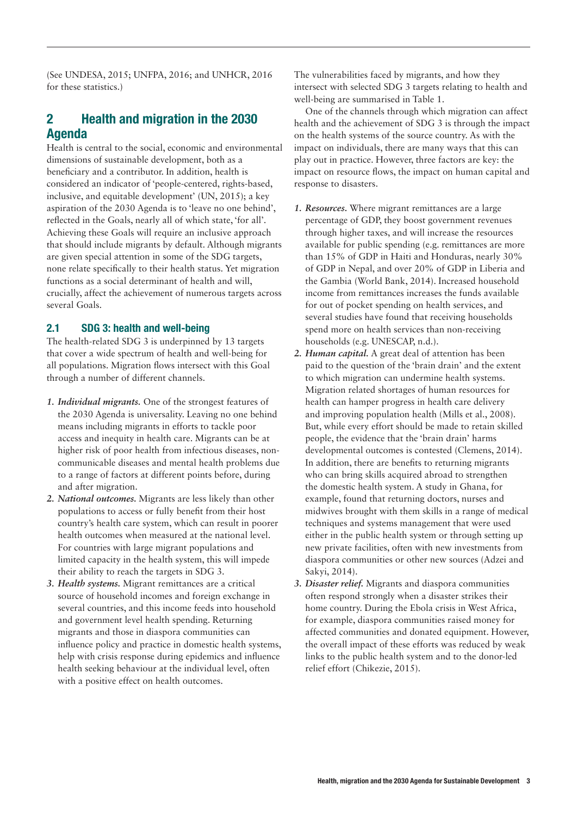(See UNDESA, 2015; UNFPA, 2016; and UNHCR, 2016 for these statistics.)

# 2 Health and migration in the 2030 Agenda

Health is central to the social, economic and environmental dimensions of sustainable development, both as a beneficiary and a contributor. In addition, health is considered an indicator of 'people-centered, rights-based, inclusive, and equitable development' (UN, 2015); a key aspiration of the 2030 Agenda is to 'leave no one behind', reflected in the Goals, nearly all of which state, 'for all'. Achieving these Goals will require an inclusive approach that should include migrants by default. Although migrants are given special attention in some of the SDG targets, none relate specifically to their health status. Yet migration functions as a social determinant of health and will, crucially, affect the achievement of numerous targets across several Goals.

# 2.1 SDG 3: health and well-being

The health-related SDG 3 is underpinned by 13 targets that cover a wide spectrum of health and well-being for all populations. Migration flows intersect with this Goal through a number of different channels.

- *1. Individual migrants.* One of the strongest features of the 2030 Agenda is universality. Leaving no one behind means including migrants in efforts to tackle poor access and inequity in health care. Migrants can be at higher risk of poor health from infectious diseases, noncommunicable diseases and mental health problems due to a range of factors at different points before, during and after migration.
- *2. National outcomes.* Migrants are less likely than other populations to access or fully benefit from their host country's health care system, which can result in poorer health outcomes when measured at the national level. For countries with large migrant populations and limited capacity in the health system, this will impede their ability to reach the targets in SDG 3.
- *3. Health systems.* Migrant remittances are a critical source of household incomes and foreign exchange in several countries, and this income feeds into household and government level health spending. Returning migrants and those in diaspora communities can influence policy and practice in domestic health systems, help with crisis response during epidemics and influence health seeking behaviour at the individual level, often with a positive effect on health outcomes.

The vulnerabilities faced by migrants, and how they intersect with selected SDG 3 targets relating to health and well-being are summarised in Table 1.

One of the channels through which migration can affect health and the achievement of SDG 3 is through the impact on the health systems of the source country. As with the impact on individuals, there are many ways that this can play out in practice. However, three factors are key: the impact on resource flows, the impact on human capital and response to disasters.

- *1. Resources.* Where migrant remittances are a large percentage of GDP, they boost government revenues through higher taxes, and will increase the resources available for public spending (e.g. remittances are more than 15% of GDP in Haiti and Honduras, nearly 30% of GDP in Nepal, and over 20% of GDP in Liberia and the Gambia (World Bank, 2014). Increased household income from remittances increases the funds available for out of pocket spending on health services, and several studies have found that receiving households spend more on health services than non-receiving households (e.g. UNESCAP, n.d.).
- *2. Human capital.* A great deal of attention has been paid to the question of the 'brain drain' and the extent to which migration can undermine health systems. Migration related shortages of human resources for health can hamper progress in health care delivery and improving population health (Mills et al., 2008). But, while every effort should be made to retain skilled people, the evidence that the 'brain drain' harms developmental outcomes is contested (Clemens, 2014). In addition, there are benefits to returning migrants who can bring skills acquired abroad to strengthen the domestic health system. A study in Ghana, for example, found that returning doctors, nurses and midwives brought with them skills in a range of medical techniques and systems management that were used either in the public health system or through setting up new private facilities, often with new investments from diaspora communities or other new sources (Adzei and Sakyi, 2014).
- *3. Disaster relief.* Migrants and diaspora communities often respond strongly when a disaster strikes their home country. During the Ebola crisis in West Africa, for example, diaspora communities raised money for affected communities and donated equipment. However, the overall impact of these efforts was reduced by weak links to the public health system and to the donor-led relief effort (Chikezie, 2015).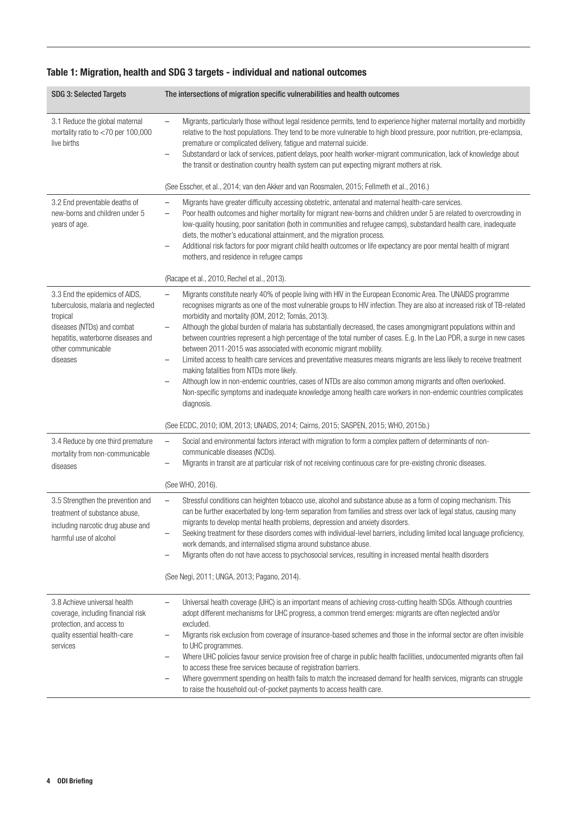| <b>SDG 3: Selected Targets</b>                                                                                                                                                          | The intersections of migration specific vulnerabilities and health outcomes                                                                                                                                                                                                                                                                                                                                                                                                                                                                                                                                                                                                                                                                                                                                                                                                                                                                                                                                                                                                                                                                                                         |
|-----------------------------------------------------------------------------------------------------------------------------------------------------------------------------------------|-------------------------------------------------------------------------------------------------------------------------------------------------------------------------------------------------------------------------------------------------------------------------------------------------------------------------------------------------------------------------------------------------------------------------------------------------------------------------------------------------------------------------------------------------------------------------------------------------------------------------------------------------------------------------------------------------------------------------------------------------------------------------------------------------------------------------------------------------------------------------------------------------------------------------------------------------------------------------------------------------------------------------------------------------------------------------------------------------------------------------------------------------------------------------------------|
| 3.1 Reduce the global maternal<br>mortality ratio to <70 per 100,000<br>live births                                                                                                     | Migrants, particularly those without legal residence permits, tend to experience higher maternal mortality and morbidity<br>$\qquad \qquad -$<br>relative to the host populations. They tend to be more vulnerable to high blood pressure, poor nutrition, pre-eclampsia,<br>premature or complicated delivery, fatigue and maternal suicide.<br>Substandard or lack of services, patient delays, poor health worker-migrant communication, lack of knowledge about<br>$\qquad \qquad -$<br>the transit or destination country health system can put expecting migrant mothers at risk.<br>(See Esscher, et al., 2014; van den Akker and van Roosmalen, 2015; Fellmeth et al., 2016.)                                                                                                                                                                                                                                                                                                                                                                                                                                                                                               |
| 3.2 End preventable deaths of                                                                                                                                                           | Migrants have greater difficulty accessing obstetric, antenatal and maternal health-care services.<br>$\qquad \qquad -$                                                                                                                                                                                                                                                                                                                                                                                                                                                                                                                                                                                                                                                                                                                                                                                                                                                                                                                                                                                                                                                             |
| new-borns and children under 5<br>years of age.                                                                                                                                         | Poor health outcomes and higher mortality for migrant new-borns and children under 5 are related to overcrowding in<br>$\qquad \qquad -$<br>low-quality housing, poor sanitation (both in communities and refugee camps), substandard health care, inadequate<br>diets, the mother's educational attainment, and the migration process.<br>Additional risk factors for poor migrant child health outcomes or life expectancy are poor mental health of migrant<br>mothers, and residence in refugee camps                                                                                                                                                                                                                                                                                                                                                                                                                                                                                                                                                                                                                                                                           |
|                                                                                                                                                                                         | (Racape et al., 2010, Rechel et al., 2013).                                                                                                                                                                                                                                                                                                                                                                                                                                                                                                                                                                                                                                                                                                                                                                                                                                                                                                                                                                                                                                                                                                                                         |
| 3.3 End the epidemics of AIDS,<br>tuberculosis, malaria and neglected<br>tropical<br>diseases (NTDs) and combat<br>hepatitis, waterborne diseases and<br>other communicable<br>diseases | Migrants constitute nearly 40% of people living with HIV in the European Economic Area. The UNAIDS programme<br>recognises migrants as one of the most vulnerable groups to HIV infection. They are also at increased risk of TB-related<br>morbidity and mortality (IOM, 2012; Tomás, 2013).<br>Although the global burden of malaria has substantially decreased, the cases amongmigrant populations within and<br>$\qquad \qquad -$<br>between countries represent a high percentage of the total number of cases. E.g. In the Lao PDR, a surge in new cases<br>between 2011-2015 was associated with economic migrant mobility.<br>Limited access to health care services and preventative measures means migrants are less likely to receive treatment<br>$\qquad \qquad -$<br>making fatalities from NTDs more likely.<br>Although low in non-endemic countries, cases of NTDs are also common among migrants and often overlooked.<br>$\qquad \qquad -$<br>Non-specific symptoms and inadequate knowledge among health care workers in non-endemic countries complicates<br>diagnosis.<br>(See ECDC, 2010; IOM, 2013; UNAIDS, 2014; Cairns, 2015; SASPEN, 2015; WHO, 2015b.) |
| 3.4 Reduce by one third premature                                                                                                                                                       | Social and environmental factors interact with migration to form a complex pattern of determinants of non-<br>$\qquad \qquad -$                                                                                                                                                                                                                                                                                                                                                                                                                                                                                                                                                                                                                                                                                                                                                                                                                                                                                                                                                                                                                                                     |
| mortality from non-communicable<br>diseases                                                                                                                                             | communicable diseases (NCDs).<br>Migrants in transit are at particular risk of not receiving continuous care for pre-existing chronic diseases.                                                                                                                                                                                                                                                                                                                                                                                                                                                                                                                                                                                                                                                                                                                                                                                                                                                                                                                                                                                                                                     |
|                                                                                                                                                                                         | (See WHO, 2016).                                                                                                                                                                                                                                                                                                                                                                                                                                                                                                                                                                                                                                                                                                                                                                                                                                                                                                                                                                                                                                                                                                                                                                    |
| 3.5 Strengthen the prevention and<br>treatment of substance abuse.<br>including narcotic drug abuse and<br>harmful use of alcohol                                                       | Stressful conditions can heighten tobacco use, alcohol and substance abuse as a form of coping mechanism. This<br>can be further exacerbated by long-term separation from families and stress over lack of legal status, causing many<br>migrants to develop mental health problems, depression and anxiety disorders.<br>Seeking treatment for these disorders comes with individual-level barriers, including limited local language proficiency,<br>work demands, and internalised stigma around substance abuse.<br>Migrants often do not have access to psychosocial services, resulting in increased mental health disorders<br>(See Negi, 2011; UNGA, 2013; Pagano, 2014).                                                                                                                                                                                                                                                                                                                                                                                                                                                                                                   |
| 3.8 Achieve universal health                                                                                                                                                            | Universal health coverage (UHC) is an important means of achieving cross-cutting health SDGs. Although countries                                                                                                                                                                                                                                                                                                                                                                                                                                                                                                                                                                                                                                                                                                                                                                                                                                                                                                                                                                                                                                                                    |
| coverage, including financial risk<br>protection, and access to<br>quality essential health-care<br>services                                                                            | adopt different mechanisms for UHC progress, a common trend emerges: migrants are often neglected and/or<br>excluded.<br>Migrants risk exclusion from coverage of insurance-based schemes and those in the informal sector are often invisible<br>to UHC programmes.<br>Where UHC policies favour service provision free of charge in public health facilities, undocumented migrants often fail<br>to access these free services because of registration barriers.<br>Where government spending on health fails to match the increased demand for health services, migrants can struggle<br>to raise the household out-of-pocket payments to access health care.                                                                                                                                                                                                                                                                                                                                                                                                                                                                                                                   |

# Table 1: Migration, health and SDG 3 targets - individual and national outcomes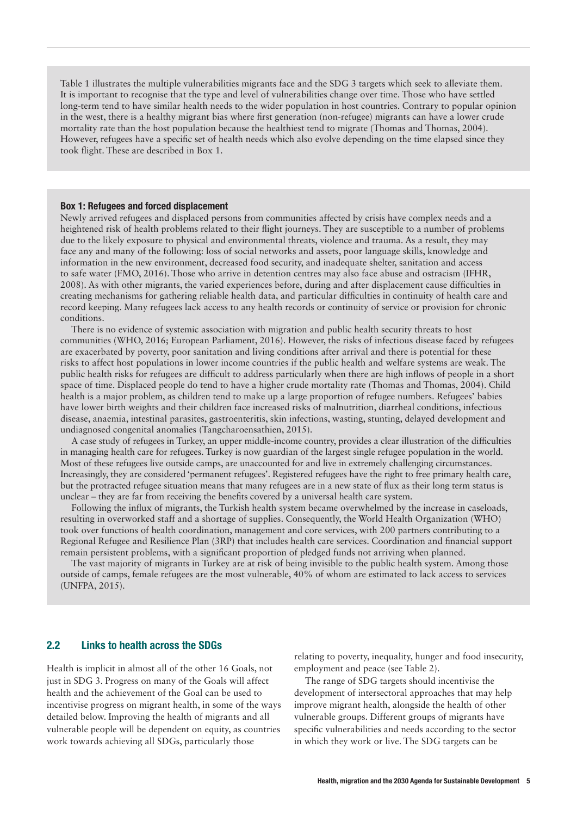Table 1 illustrates the multiple vulnerabilities migrants face and the SDG 3 targets which seek to alleviate them. It is important to recognise that the type and level of vulnerabilities change over time. Those who have settled long-term tend to have similar health needs to the wider population in host countries. Contrary to popular opinion in the west, there is a healthy migrant bias where first generation (non-refugee) migrants can have a lower crude mortality rate than the host population because the healthiest tend to migrate (Thomas and Thomas, 2004). However, refugees have a specific set of health needs which also evolve depending on the time elapsed since they took flight. These are described in Box 1.

#### Box 1: Refugees and forced displacement

Newly arrived refugees and displaced persons from communities affected by crisis have complex needs and a heightened risk of health problems related to their flight journeys. They are susceptible to a number of problems due to the likely exposure to physical and environmental threats, violence and trauma. As a result, they may face any and many of the following: loss of social networks and assets, poor language skills, knowledge and information in the new environment, decreased food security, and inadequate shelter, sanitation and access to safe water (FMO, 2016). Those who arrive in detention centres may also face abuse and ostracism (IFHR, 2008). As with other migrants, the varied experiences before, during and after displacement cause difficulties in creating mechanisms for gathering reliable health data, and particular difficulties in continuity of health care and record keeping. Many refugees lack access to any health records or continuity of service or provision for chronic conditions.

There is no evidence of systemic association with migration and public health security threats to host communities (WHO, 2016; European Parliament, 2016). However, the risks of infectious disease faced by refugees are exacerbated by poverty, poor sanitation and living conditions after arrival and there is potential for these risks to affect host populations in lower income countries if the public health and welfare systems are weak. The public health risks for refugees are difficult to address particularly when there are high inflows of people in a short space of time. Displaced people do tend to have a higher crude mortality rate (Thomas and Thomas, 2004). Child health is a major problem, as children tend to make up a large proportion of refugee numbers. Refugees' babies have lower birth weights and their children face increased risks of malnutrition, diarrheal conditions, infectious disease, anaemia, intestinal parasites, gastroenteritis, skin infections, wasting, stunting, delayed development and undiagnosed congenital anomalies (Tangcharoensathien, 2015).

A case study of refugees in Turkey, an upper middle-income country, provides a clear illustration of the difficulties in managing health care for refugees. Turkey is now guardian of the largest single refugee population in the world. Most of these refugees live outside camps, are unaccounted for and live in extremely challenging circumstances. Increasingly, they are considered 'permanent refugees'. Registered refugees have the right to free primary health care, but the protracted refugee situation means that many refugees are in a new state of flux as their long term status is unclear – they are far from receiving the benefits covered by a universal health care system.

Following the influx of migrants, the Turkish health system became overwhelmed by the increase in caseloads, resulting in overworked staff and a shortage of supplies. Consequently, the World Health Organization (WHO) took over functions of health coordination, management and core services, with 200 partners contributing to a Regional Refugee and Resilience Plan (3RP) that includes health care services. Coordination and financial support remain persistent problems, with a significant proportion of pledged funds not arriving when planned.

The vast majority of migrants in Turkey are at risk of being invisible to the public health system. Among those outside of camps, female refugees are the most vulnerable, 40% of whom are estimated to lack access to services (UNFPA, 2015).

#### 2.2 Links to health across the SDGs

Health is implicit in almost all of the other 16 Goals, not just in SDG 3. Progress on many of the Goals will affect health and the achievement of the Goal can be used to incentivise progress on migrant health, in some of the ways detailed below. Improving the health of migrants and all vulnerable people will be dependent on equity, as countries work towards achieving all SDGs, particularly those

relating to poverty, inequality, hunger and food insecurity, employment and peace (see Table 2).

The range of SDG targets should incentivise the development of intersectoral approaches that may help improve migrant health, alongside the health of other vulnerable groups. Different groups of migrants have specific vulnerabilities and needs according to the sector in which they work or live. The SDG targets can be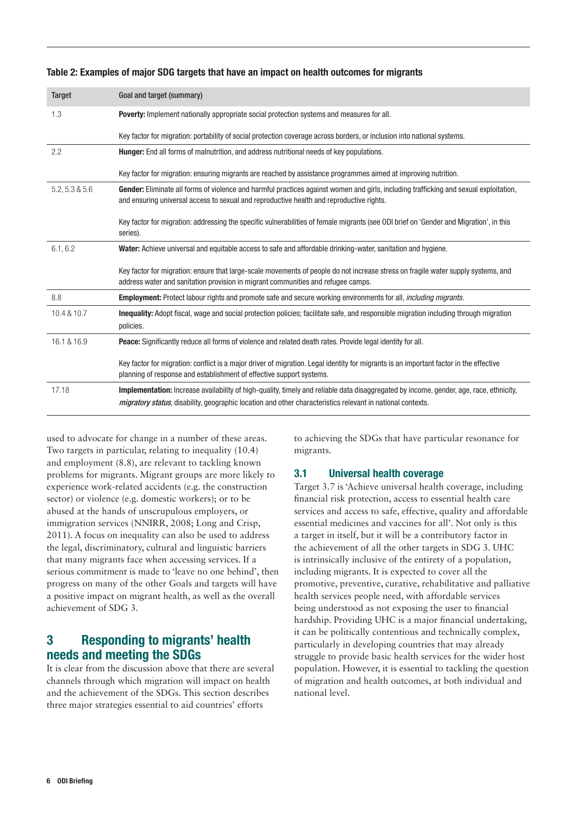| <b>Target</b>  | Goal and target (summary)                                                                                                                                                                                                                                           |
|----------------|---------------------------------------------------------------------------------------------------------------------------------------------------------------------------------------------------------------------------------------------------------------------|
| 1.3            | <b>Poverty:</b> Implement nationally appropriate social protection systems and measures for all.                                                                                                                                                                    |
|                | Key factor for migration: portability of social protection coverage across borders, or inclusion into national systems.                                                                                                                                             |
| 2.2            | <b>Hunger:</b> End all forms of malnutrition, and address nutritional needs of key populations.                                                                                                                                                                     |
|                | Key factor for migration: ensuring migrants are reached by assistance programmes aimed at improving nutrition.                                                                                                                                                      |
| 5.2, 5.3 & 5.6 | Gender: Eliminate all forms of violence and harmful practices against women and girls, including trafficking and sexual exploitation,<br>and ensuring universal access to sexual and reproductive health and reproductive rights.                                   |
|                | Key factor for migration: addressing the specific vulnerabilities of female migrants (see ODI brief on 'Gender and Migration', in this<br>series).                                                                                                                  |
| 6.1, 6.2       | Water: Achieve universal and equitable access to safe and affordable drinking-water, sanitation and hygiene.                                                                                                                                                        |
|                | Key factor for migration: ensure that large-scale movements of people do not increase stress on fragile water supply systems, and<br>address water and sanitation provision in migrant communities and refugee camps.                                               |
| 8.8            | Employment: Protect labour rights and promote safe and secure working environments for all, <i>including migrants</i> .                                                                                                                                             |
| 10.4 & 10.7    | <b>Inequality:</b> Adopt fiscal, wage and social protection policies; facilitate safe, and responsible migration including through migration<br>policies.                                                                                                           |
| 16.1 & 16.9    | <b>Peace:</b> Significantly reduce all forms of violence and related death rates. Provide legal identity for all.                                                                                                                                                   |
|                | Key factor for migration: conflict is a major driver of migration. Legal identity for migrants is an important factor in the effective<br>planning of response and establishment of effective support systems.                                                      |
| 17.18          | <b>Implementation:</b> Increase availability of high-quality, timely and reliable data disaggregated by income, gender, age, race, ethnicity,<br><i>migratory status</i> , disability, geographic location and other characteristics relevant in national contexts. |

#### Table 2: Examples of major SDG targets that have an impact on health outcomes for migrants

used to advocate for change in a number of these areas. Two targets in particular, relating to inequality (10.4) and employment (8.8), are relevant to tackling known problems for migrants. Migrant groups are more likely to experience work-related accidents (e.g. the construction sector) or violence (e.g. domestic workers); or to be abused at the hands of unscrupulous employers, or immigration services (NNIRR, 2008; Long and Crisp, 2011). A focus on inequality can also be used to address the legal, discriminatory, cultural and linguistic barriers that many migrants face when accessing services. If a serious commitment is made to 'leave no one behind', then progress on many of the other Goals and targets will have a positive impact on migrant health, as well as the overall achievement of SDG 3.

# 3 Responding to migrants' health needs and meeting the SDGs

It is clear from the discussion above that there are several channels through which migration will impact on health and the achievement of the SDGs. This section describes three major strategies essential to aid countries' efforts

to achieving the SDGs that have particular resonance for migrants.

#### 3.1 Universal health coverage

Target 3.7 is 'Achieve universal health coverage, including financial risk protection, access to essential health care services and access to safe, effective, quality and affordable essential medicines and vaccines for all'. Not only is this a target in itself, but it will be a contributory factor in the achievement of all the other targets in SDG 3. UHC is intrinsically inclusive of the entirety of a population, including migrants. It is expected to cover all the promotive, preventive, curative, rehabilitative and palliative health services people need, with affordable services being understood as not exposing the user to financial hardship. Providing UHC is a major financial undertaking, it can be politically contentious and technically complex, particularly in developing countries that may already struggle to provide basic health services for the wider host population. However, it is essential to tackling the question of migration and health outcomes, at both individual and national level.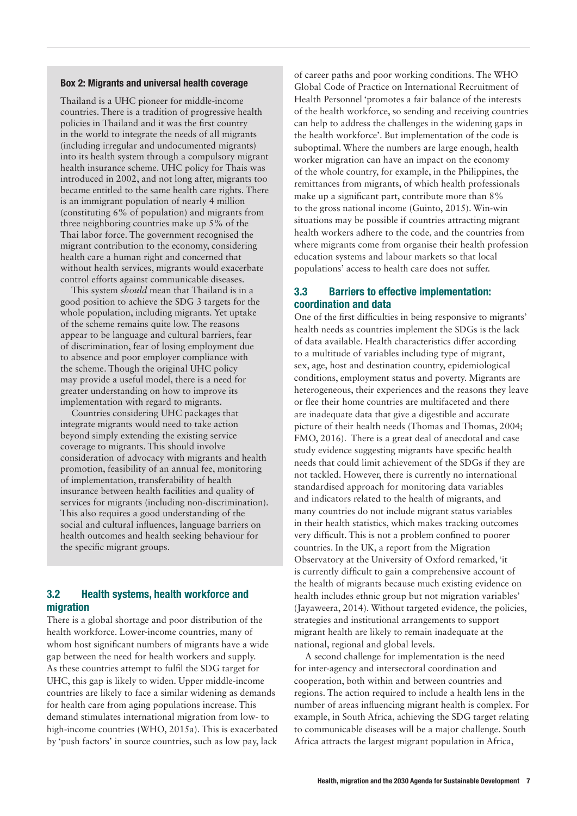#### Box 2: Migrants and universal health coverage

Thailand is a UHC pioneer for middle-income countries. There is a tradition of progressive health policies in Thailand and it was the first country in the world to integrate the needs of all migrants (including irregular and undocumented migrants) into its health system through a compulsory migrant health insurance scheme. UHC policy for Thais was introduced in 2002, and not long after, migrants too became entitled to the same health care rights. There is an immigrant population of nearly 4 million (constituting 6% of population) and migrants from three neighboring countries make up 5% of the Thai labor force. The government recognised the migrant contribution to the economy, considering health care a human right and concerned that without health services, migrants would exacerbate control efforts against communicable diseases.

This system *should* mean that Thailand is in a good position to achieve the SDG 3 targets for the whole population, including migrants. Yet uptake of the scheme remains quite low. The reasons appear to be language and cultural barriers, fear of discrimination, fear of losing employment due to absence and poor employer compliance with the scheme. Though the original UHC policy may provide a useful model, there is a need for greater understanding on how to improve its implementation with regard to migrants.

Countries considering UHC packages that integrate migrants would need to take action beyond simply extending the existing service coverage to migrants. This should involve consideration of advocacy with migrants and health promotion, feasibility of an annual fee, monitoring of implementation, transferability of health insurance between health facilities and quality of services for migrants (including non-discrimination). This also requires a good understanding of the social and cultural influences, language barriers on health outcomes and health seeking behaviour for the specific migrant groups.

#### 3.2 Health systems, health workforce and migration

There is a global shortage and poor distribution of the health workforce. Lower-income countries, many of whom host significant numbers of migrants have a wide gap between the need for health workers and supply. As these countries attempt to fulfil the SDG target for UHC, this gap is likely to widen. Upper middle-income countries are likely to face a similar widening as demands for health care from aging populations increase. This demand stimulates international migration from low- to high-income countries (WHO, 2015a). This is exacerbated by 'push factors' in source countries, such as low pay, lack

of career paths and poor working conditions. The WHO Global Code of Practice on International Recruitment of Health Personnel 'promotes a fair balance of the interests of the health workforce, so sending and receiving countries can help to address the challenges in the widening gaps in the health workforce'. But implementation of the code is suboptimal. Where the numbers are large enough, health worker migration can have an impact on the economy of the whole country, for example, in the Philippines, the remittances from migrants, of which health professionals make up a significant part, contribute more than 8% to the gross national income (Guinto, 2015). Win-win situations may be possible if countries attracting migrant health workers adhere to the code, and the countries from where migrants come from organise their health profession education systems and labour markets so that local populations' access to health care does not suffer.

#### 3.3 Barriers to effective implementation: coordination and data

One of the first difficulties in being responsive to migrants' health needs as countries implement the SDGs is the lack of data available. Health characteristics differ according to a multitude of variables including type of migrant, sex, age, host and destination country, epidemiological conditions, employment status and poverty. Migrants are heterogeneous, their experiences and the reasons they leave or flee their home countries are multifaceted and there are inadequate data that give a digestible and accurate picture of their health needs (Thomas and Thomas, 2004; FMO, 2016). There is a great deal of anecdotal and case study evidence suggesting migrants have specific health needs that could limit achievement of the SDGs if they are not tackled. However, there is currently no international standardised approach for monitoring data variables and indicators related to the health of migrants, and many countries do not include migrant status variables in their health statistics, which makes tracking outcomes very difficult. This is not a problem confined to poorer countries. In the UK, a report from the Migration Observatory at the University of Oxford remarked, 'it is currently difficult to gain a comprehensive account of the health of migrants because much existing evidence on health includes ethnic group but not migration variables' (Jayaweera, 2014). Without targeted evidence, the policies, strategies and institutional arrangements to support migrant health are likely to remain inadequate at the national, regional and global levels.

A second challenge for implementation is the need for inter-agency and intersectoral coordination and cooperation, both within and between countries and regions. The action required to include a health lens in the number of areas influencing migrant health is complex. For example, in South Africa, achieving the SDG target relating to communicable diseases will be a major challenge. South Africa attracts the largest migrant population in Africa,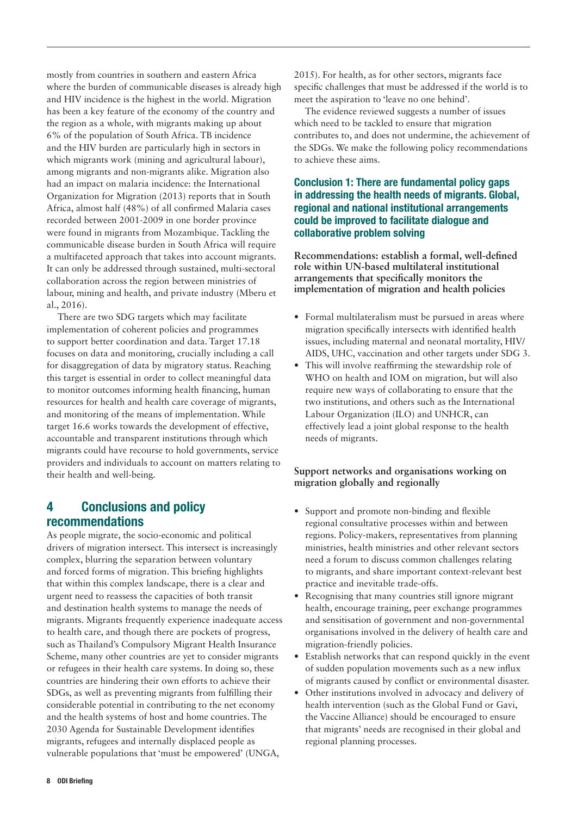mostly from countries in southern and eastern Africa where the burden of communicable diseases is already high and HIV incidence is the highest in the world. Migration has been a key feature of the economy of the country and the region as a whole, with migrants making up about 6% of the population of South Africa. TB incidence and the HIV burden are particularly high in sectors in which migrants work (mining and agricultural labour), among migrants and non-migrants alike. Migration also had an impact on malaria incidence: the International Organization for Migration (2013) reports that in South Africa, almost half (48%) of all confirmed Malaria cases recorded between 2001-2009 in one border province were found in migrants from Mozambique. Tackling the communicable disease burden in South Africa will require a multifaceted approach that takes into account migrants. It can only be addressed through sustained, multi-sectoral collaboration across the region between ministries of labour, mining and health, and private industry (Mberu et al., 2016).

There are two SDG targets which may facilitate implementation of coherent policies and programmes to support better coordination and data. Target 17.18 focuses on data and monitoring, crucially including a call for disaggregation of data by migratory status. Reaching this target is essential in order to collect meaningful data to monitor outcomes informing health financing, human resources for health and health care coverage of migrants, and monitoring of the means of implementation. While target 16.6 works towards the development of effective, accountable and transparent institutions through which migrants could have recourse to hold governments, service providers and individuals to account on matters relating to their health and well-being.

# 4 Conclusions and policy recommendations

As people migrate, the socio-economic and political drivers of migration intersect. This intersect is increasingly complex, blurring the separation between voluntary and forced forms of migration. This briefing highlights that within this complex landscape, there is a clear and urgent need to reassess the capacities of both transit and destination health systems to manage the needs of migrants. Migrants frequently experience inadequate access to health care, and though there are pockets of progress, such as Thailand's Compulsory Migrant Health Insurance Scheme, many other countries are yet to consider migrants or refugees in their health care systems. In doing so, these countries are hindering their own efforts to achieve their SDGs, as well as preventing migrants from fulfilling their considerable potential in contributing to the net economy and the health systems of host and home countries. The 2030 Agenda for Sustainable Development identifies migrants, refugees and internally displaced people as vulnerable populations that 'must be empowered' (UNGA,

2015). For health, as for other sectors, migrants face specific challenges that must be addressed if the world is to meet the aspiration to 'leave no one behind'.

The evidence reviewed suggests a number of issues which need to be tackled to ensure that migration contributes to, and does not undermine, the achievement of the SDGs. We make the following policy recommendations to achieve these aims.

# Conclusion 1: There are fundamental policy gaps in addressing the health needs of migrants. Global, regional and national institutional arrangements could be improved to facilitate dialogue and collaborative problem solving

**Recommendations: establish a formal, well-defined role within UN-based multilateral institutional arrangements that specifically monitors the implementation of migration and health policies** 

- **•** Formal multilateralism must be pursued in areas where migration specifically intersects with identified health issues, including maternal and neonatal mortality, HIV/ AIDS, UHC, vaccination and other targets under SDG 3.
- **•** This will involve reaffirming the stewardship role of WHO on health and IOM on migration, but will also require new ways of collaborating to ensure that the two institutions, and others such as the International Labour Organization (ILO) and UNHCR, can effectively lead a joint global response to the health needs of migrants.

# **Support networks and organisations working on migration globally and regionally**

- **•** Support and promote non-binding and flexible regional consultative processes within and between regions. Policy-makers, representatives from planning ministries, health ministries and other relevant sectors need a forum to discuss common challenges relating to migrants, and share important context-relevant best practice and inevitable trade-offs.
- **•** Recognising that many countries still ignore migrant health, encourage training, peer exchange programmes and sensitisation of government and non-governmental organisations involved in the delivery of health care and migration-friendly policies.
- **•** Establish networks that can respond quickly in the event of sudden population movements such as a new influx of migrants caused by conflict or environmental disaster.
- **•** Other institutions involved in advocacy and delivery of health intervention (such as the Global Fund or Gavi, the Vaccine Alliance) should be encouraged to ensure that migrants' needs are recognised in their global and regional planning processes.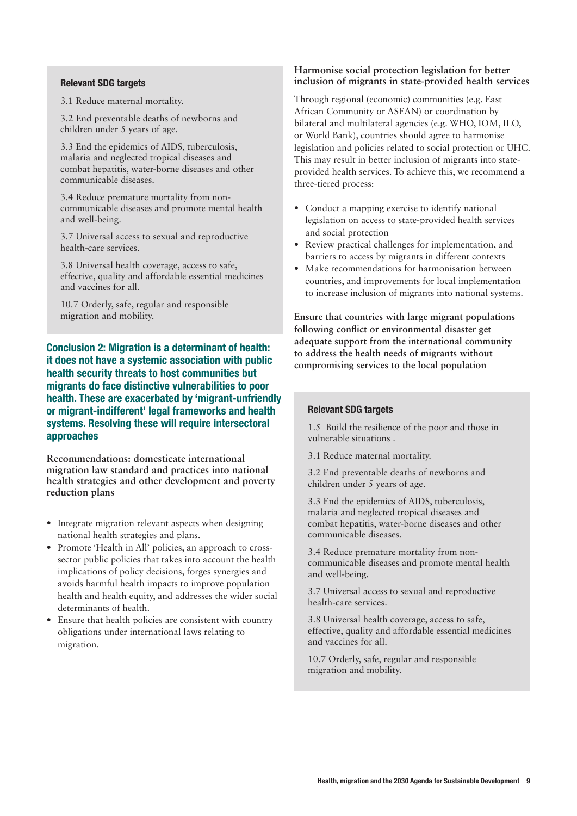#### Relevant SDG targets

3.1 Reduce maternal mortality.

3.2 End preventable deaths of newborns and children under 5 years of age.

3.3 End the epidemics of AIDS, tuberculosis, malaria and neglected tropical diseases and combat hepatitis, water-borne diseases and other communicable diseases.

3.4 Reduce premature mortality from noncommunicable diseases and promote mental health and well-being.

3.7 Universal access to sexual and reproductive health-care services.

3.8 Universal health coverage, access to safe, effective, quality and affordable essential medicines and vaccines for all.

10.7 Orderly, safe, regular and responsible migration and mobility.

Conclusion 2: Migration is a determinant of health: it does not have a systemic association with public health security threats to host communities but migrants do face distinctive vulnerabilities to poor health. These are exacerbated by 'migrant-unfriendly or migrant-indifferent' legal frameworks and health systems. Resolving these will require intersectoral approaches

**Recommendations: domesticate international migration law standard and practices into national health strategies and other development and poverty reduction plans**

- **•** Integrate migration relevant aspects when designing national health strategies and plans.
- **•** Promote 'Health in All' policies, an approach to crosssector public policies that takes into account the health implications of policy decisions, forges synergies and avoids harmful health impacts to improve population health and health equity, and addresses the wider social determinants of health.
- **•** Ensure that health policies are consistent with country obligations under international laws relating to migration.

#### **Harmonise social protection legislation for better inclusion of migrants in state-provided health services**

Through regional (economic) communities (e.g. East African Community or ASEAN) or coordination by bilateral and multilateral agencies (e.g. WHO, IOM, ILO, or World Bank), countries should agree to harmonise legislation and policies related to social protection or UHC. This may result in better inclusion of migrants into stateprovided health services. To achieve this, we recommend a three-tiered process:

- Conduct a mapping exercise to identify national legislation on access to state-provided health services and social protection
- **•** Review practical challenges for implementation, and barriers to access by migrants in different contexts
- **•** Make recommendations for harmonisation between countries, and improvements for local implementation to increase inclusion of migrants into national systems.

**Ensure that countries with large migrant populations following conflict or environmental disaster get adequate support from the international community to address the health needs of migrants without compromising services to the local population**

#### Relevant SDG targets

1.5 Build the resilience of the poor and those in vulnerable situations .

- 3.1 Reduce maternal mortality.
- 3.2 End preventable deaths of newborns and children under 5 years of age.

3.3 End the epidemics of AIDS, tuberculosis, malaria and neglected tropical diseases and combat hepatitis, water-borne diseases and other communicable diseases.

3.4 Reduce premature mortality from noncommunicable diseases and promote mental health and well-being.

3.7 Universal access to sexual and reproductive health-care services.

3.8 Universal health coverage, access to safe, effective, quality and affordable essential medicines and vaccines for all.

10.7 Orderly, safe, regular and responsible migration and mobility.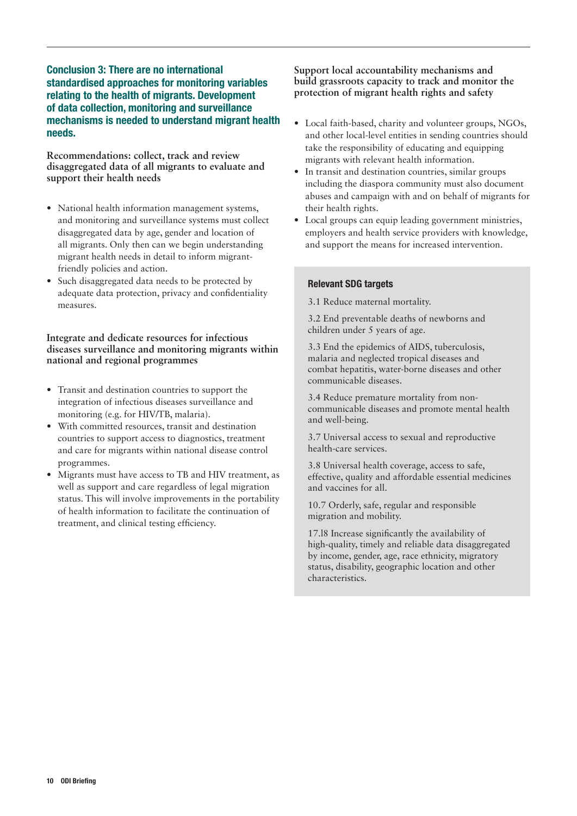# Conclusion 3: There are no international standardised approaches for monitoring variables relating to the health of migrants. Development of data collection, monitoring and surveillance mechanisms is needed to understand migrant health needs.

**Recommendations: collect, track and review disaggregated data of all migrants to evaluate and support their health needs** 

- **•** National health information management systems, and monitoring and surveillance systems must collect disaggregated data by age, gender and location of all migrants. Only then can we begin understanding migrant health needs in detail to inform migrantfriendly policies and action.
- **•** Such disaggregated data needs to be protected by adequate data protection, privacy and confidentiality measures.

**Integrate and dedicate resources for infectious diseases surveillance and monitoring migrants within national and regional programmes** 

- **•** Transit and destination countries to support the integration of infectious diseases surveillance and monitoring (e.g. for HIV/TB, malaria).
- **•** With committed resources, transit and destination countries to support access to diagnostics, treatment and care for migrants within national disease control programmes.
- **•** Migrants must have access to TB and HIV treatment, as well as support and care regardless of legal migration status. This will involve improvements in the portability of health information to facilitate the continuation of treatment, and clinical testing efficiency.

#### **Support local accountability mechanisms and build grassroots capacity to track and monitor the protection of migrant health rights and safety**

- **•** Local faith-based, charity and volunteer groups, NGOs, and other local-level entities in sending countries should take the responsibility of educating and equipping migrants with relevant health information.
- **•** In transit and destination countries, similar groups including the diaspora community must also document abuses and campaign with and on behalf of migrants for their health rights.
- **•** Local groups can equip leading government ministries, employers and health service providers with knowledge, and support the means for increased intervention.

# Relevant SDG targets

3.1 Reduce maternal mortality.

3.2 End preventable deaths of newborns and children under 5 years of age.

3.3 End the epidemics of AIDS, tuberculosis, malaria and neglected tropical diseases and combat hepatitis, water-borne diseases and other communicable diseases.

3.4 Reduce premature mortality from noncommunicable diseases and promote mental health and well-being.

3.7 Universal access to sexual and reproductive health-care services.

3.8 Universal health coverage, access to safe, effective, quality and affordable essential medicines and vaccines for all.

10.7 Orderly, safe, regular and responsible migration and mobility.

17.l8 Increase significantly the availability of high-quality, timely and reliable data disaggregated by income, gender, age, race ethnicity, migratory status, disability, geographic location and other characteristics.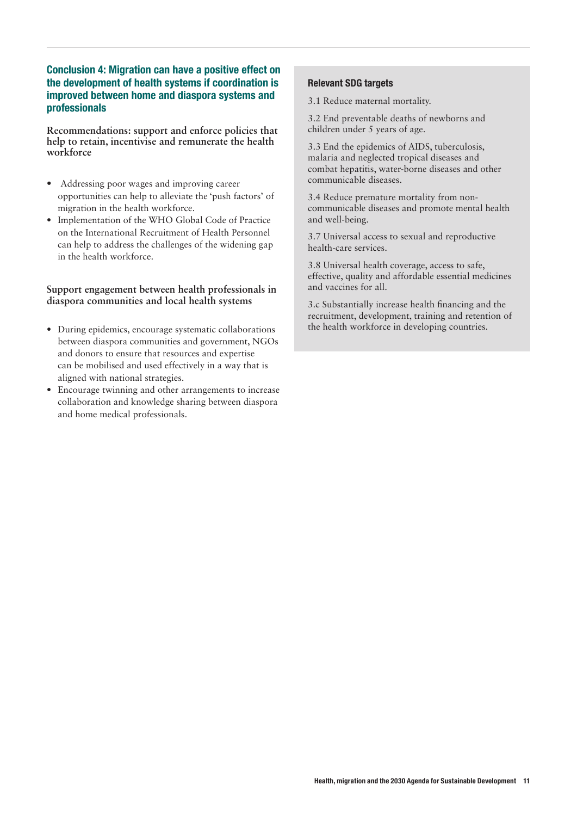# Conclusion 4: Migration can have a positive effect on the development of health systems if coordination is improved between home and diaspora systems and professionals

**Recommendations: support and enforce policies that help to retain, incentivise and remunerate the health workforce**

- **•** Addressing poor wages and improving career opportunities can help to alleviate the 'push factors' of migration in the health workforce.
- **•** Implementation of the WHO Global Code of Practice on the International Recruitment of Health Personnel can help to address the challenges of the widening gap in the health workforce.

#### **Support engagement between health professionals in diaspora communities and local health systems**

- **•** During epidemics, encourage systematic collaborations between diaspora communities and government, NGOs and donors to ensure that resources and expertise can be mobilised and used effectively in a way that is aligned with national strategies.
- **•** Encourage twinning and other arrangements to increase collaboration and knowledge sharing between diaspora and home medical professionals.

# Relevant SDG targets

3.1 Reduce maternal mortality.

3.2 End preventable deaths of newborns and children under 5 years of age.

3.3 End the epidemics of AIDS, tuberculosis, malaria and neglected tropical diseases and combat hepatitis, water-borne diseases and other communicable diseases.

3.4 Reduce premature mortality from noncommunicable diseases and promote mental health and well-being.

3.7 Universal access to sexual and reproductive health-care services.

3.8 Universal health coverage, access to safe, effective, quality and affordable essential medicines and vaccines for all.

3.c Substantially increase health financing and the recruitment, development, training and retention of the health workforce in developing countries.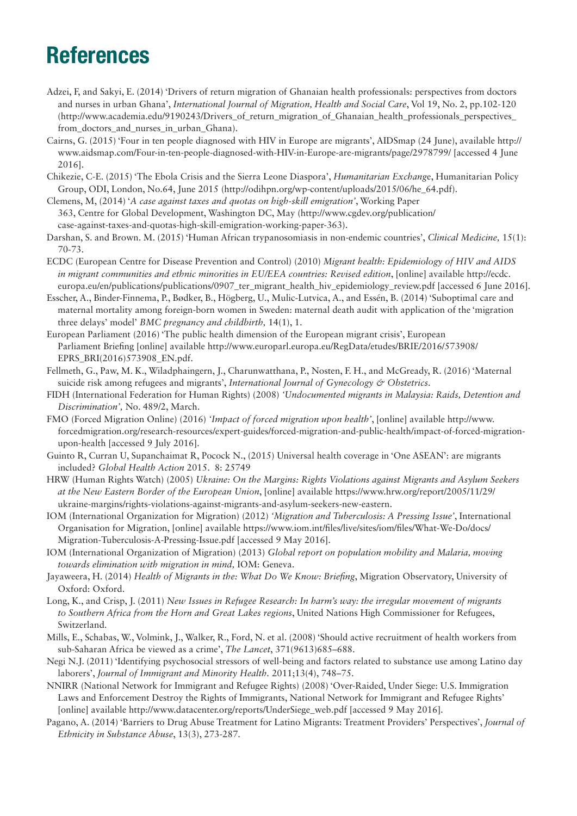# References

- Adzei, F, and Sakyi, E. (2014) 'Drivers of return migration of Ghanaian health professionals: perspectives from doctors and nurses in urban Ghana', *International Journal of Migration, Health and Social Care*, Vol 19, No. 2, pp.102-120 (http://www.academia.edu/9190243/Drivers of return migration of Ghanaian health professionals perspectives from\_doctors\_and\_nurses\_in\_urban\_Ghana).
- Cairns, G. (2015) 'Four in ten people diagnosed with HIV in Europe are migrants', AIDSmap (24 June), available http:// www.aidsmap.com/Four-in-ten-people-diagnosed-with-HIV-in-Europe-are-migrants/page/2978799/ [accessed 4 June 2016].
- Chikezie, C-E. (2015) 'The Ebola Crisis and the Sierra Leone Diaspora', *Humanitarian Exchang*e, Humanitarian Policy Group, ODI, London, No.64, June 2015 (http://odihpn.org/wp-content/uploads/2015/06/he\_64.pdf).
- Clemens, M, (2014) '*A case against taxes and quotas on high-skill emigration'*, Working Paper 363, Centre for Global Development, Washington DC, May (http://www.cgdev.org/publication/ case-against-taxes-and-quotas-high-skill-emigration-working-paper-363).
- Darshan, S. and Brown. M. (2015) 'Human African trypanosomiasis in non-endemic countries', *Clinical Medicine,* 15(1): 70-73.
- ECDC (European Centre for Disease Prevention and Control) (2010) *Migrant health: Epidemiology of HIV and AIDS in migrant communities and ethnic minorities in EU/EEA countries: Revised edition*, [online] available http://ecdc. europa.eu/en/publications/publications/0907 ter migrant health hiv epidemiology review.pdf [accessed 6 June 2016].
- Esscher, A., Binder-Finnema, P., Bødker, B., Högberg, U., Mulic-Lutvica, A., and Essén, B. (2014) 'Suboptimal care and maternal mortality among foreign-born women in Sweden: maternal death audit with application of the 'migration three delays' model' *BMC pregnancy and childbirth,* 14(1), 1.
- European Parliament (2016) 'The public health dimension of the European migrant crisis', European Parliament Briefing [online] available http://www.europarl.europa.eu/RegData/etudes/BRIE/2016/573908/ EPRS\_BRI(2016)573908\_EN.pdf.
- Fellmeth, G., Paw, M. K., Wiladphaingern, J., Charunwatthana, P., Nosten, F. H., and McGready, R. (2016) 'Maternal suicide risk among refugees and migrants', *International Journal of Gynecology & Obstetrics.*
- FIDH (International Federation for Human Rights) (2008) *'Undocumented migrants in Malaysia: Raids, Detention and Discrimination',* No. 489/2, March.
- FMO (Forced Migration Online) (2016) *'Impact of forced migration upon health'*, [online] available http://www. forcedmigration.org/research-resources/expert-guides/forced-migration-and-public-health/impact-of-forced-migrationupon-health [accessed 9 July 2016].
- Guinto R, Curran U, Supanchaimat R, Pocock N., (2015) Universal health coverage in 'One ASEAN': are migrants included? *Global Health Action* 2015. 8: 25749
- HRW (Human Rights Watch) (2005) *Ukraine: On the Margins: Rights Violations against Migrants and Asylum Seekers at the New Eastern Border of the European Union*, [online] available https://www.hrw.org/report/2005/11/29/ ukraine-margins/rights-violations-against-migrants-and-asylum-seekers-new-eastern.
- IOM (International Organization for Migration) (2012) *'Migration and Tuberculosis: A Pressing Issue'*, International Organisation for Migration, [online] available https://www.iom.int/files/live/sites/iom/files/What-We-Do/docs/ Migration-Tuberculosis-A-Pressing-Issue.pdf [accessed 9 May 2016].
- IOM (International Organization of Migration) (2013) *Global report on population mobility and Malaria, moving towards elimination with migration in mind,* IOM: Geneva.
- Jayaweera, H. (2014) *Health of Migrants in the: What Do We Know: Briefing*, Migration Observatory, University of Oxford: Oxford.
- Long, K., and Crisp, J. (2011) *New Issues in Refugee Research: In harm's way: the irregular movement of migrants to Southern Africa from the Horn and Great Lakes regions*, United Nations High Commissioner for Refugees, Switzerland.
- Mills, E., Schabas, W., Volmink, J., Walker, R., Ford, N. et al. (2008) 'Should active recruitment of health workers from sub-Saharan Africa be viewed as a crime', *The Lancet*, 371(9613)685–688.
- Negi N.J. (2011) 'Identifying psychosocial stressors of well-being and factors related to substance use among Latino day laborers', *Journal of Immigrant and Minority Health.* 2011;13(4), 748–75.
- NNIRR (National Network for Immigrant and Refugee Rights) (2008) 'Over-Raided, Under Siege: U.S. Immigration Laws and Enforcement Destroy the Rights of Immigrants, National Network for Immigrant and Refugee Rights' [online] available http://www.datacenter.org/reports/UnderSiege\_web.pdf [accessed 9 May 2016].
- Pagano, A. (2014) 'Barriers to Drug Abuse Treatment for Latino Migrants: Treatment Providers' Perspectives', *Journal of Ethnicity in Substance Abuse*, 13(3), 273-287.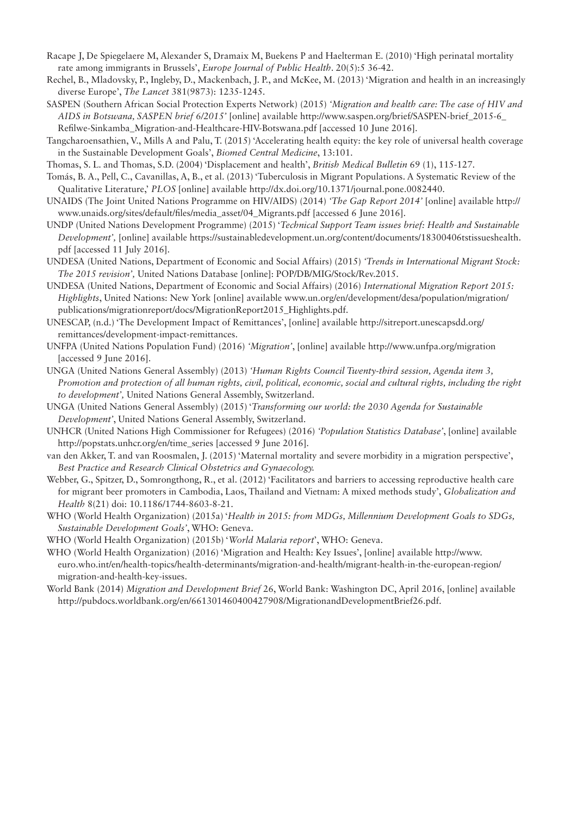- Racape J, De Spiegelaere M, Alexander S, Dramaix M, Buekens P and Haelterman E. (2010) 'High perinatal mortality rate among immigrants in Brussels', *Europe Journal of Public Health*. 20(5):5 36-42.
- Rechel, B., Mladovsky, P., Ingleby, D., Mackenbach, J. P., and McKee, M. (2013) 'Migration and health in an increasingly diverse Europe', *The Lancet* 381(9873): 1235-1245.
- SASPEN (Southern African Social Protection Experts Network) (2015) *'Migration and health care: The case of HIV and AIDS in Botswana, SASPEN brief 6/2015'* [online] available http://www.saspen.org/brief/SASPEN-brief\_2015-6\_ Refilwe-Sinkamba\_Migration-and-Healthcare-HIV-Botswana.pdf [accessed 10 June 2016].
- Tangcharoensathien, V., Mills A and Palu, T. (2015) 'Accelerating health equity: the key role of universal health coverage in the Sustainable Development Goals', *Biomed Central Medicine*, 13:101.

Thomas, S. L. and Thomas, S.D. (2004) 'Displacement and health', *British Medical Bulletin* 69 (1), 115-127.

- Tomás, B. A., Pell, C., Cavanillas, A, B., et al. (2013) 'Tuberculosis in Migrant Populations. A Systematic Review of the Qualitative Literature,' *PLOS* [online] available http://dx.doi.org/10.1371/journal.pone.0082440.
- UNAIDS (The Joint United Nations Programme on HIV/AIDS) (2014) *'The Gap Report 2014'* [online] available http:// www.unaids.org/sites/default/files/media\_asset/04\_Migrants.pdf [accessed 6 June 2016].
- UNDP (United Nations Development Programme) (2015) '*Technical Support Team issues brief: Health and Sustainable Development',* [online] available https://sustainabledevelopment.un.org/content/documents/18300406tstissueshealth. pdf [accessed 11 July 2016].
- UNDESA (United Nations, Department of Economic and Social Affairs) (2015) *'Trends in International Migrant Stock: The 2015 revision',* United Nations Database [online]: POP/DB/MIG/Stock/Rev.2015.
- UNDESA (United Nations, Department of Economic and Social Affairs) (2016) *International Migration Report 2015: Highlights*, United Nations: New York [online] available www.un.org/en/development/desa/population/migration/ publications/migrationreport/docs/MigrationReport2015\_Highlights.pdf.
- UNESCAP, (n.d.) 'The Development Impact of Remittances', [online] available http://sitreport.unescapsdd.org/ remittances/development-impact-remittances.
- UNFPA (United Nations Population Fund) (2016) *'Migration'*, [online] available http://www.unfpa.org/migration [accessed 9 June 2016].
- UNGA (United Nations General Assembly) (2013) *'Human Rights Council Twenty-third session, Agenda item 3, Promotion and protection of all human rights, civil, political, economic, social and cultural rights, including the right to development',* United Nations General Assembly, Switzerland.
- UNGA (United Nations General Assembly) (2015) '*Transforming our world: the 2030 Agenda for Sustainable Development'*, United Nations General Assembly, Switzerland.
- UNHCR (United Nations High Commissioner for Refugees) (2016) *'Population Statistics Database'*, [online] available http://popstats.unhcr.org/en/time\_series [accessed 9 June 2016].
- van den Akker, T. and van Roosmalen, J. (2015) 'Maternal mortality and severe morbidity in a migration perspective', *Best Practice and Research Clinical Obstetrics and Gynaecology.*
- Webber, G., Spitzer, D., Somrongthong, R., et al. (2012) 'Facilitators and barriers to accessing reproductive health care for migrant beer promoters in Cambodia, Laos, Thailand and Vietnam: A mixed methods study', *Globalization and Health* 8(21) doi: 10.1186/1744-8603-8-21.
- WHO (World Health Organization) (2015a) '*Health in 2015: from MDGs, Millennium Development Goals to SDGs, Sustainable Development Goals'*, WHO: Geneva.
- WHO (World Health Organization) (2015b) '*World Malaria report*', WHO: Geneva.
- WHO (World Health Organization) (2016) 'Migration and Health: Key Issues', [online] available http://www. euro.who.int/en/health-topics/health-determinants/migration-and-health/migrant-health-in-the-european-region/ migration-and-health-key-issues.
- World Bank (2014) *Migration and Development Brief* 26, World Bank: Washington DC, April 2016, [online] available http://pubdocs.worldbank.org/en/661301460400427908/MigrationandDevelopmentBrief26.pdf.